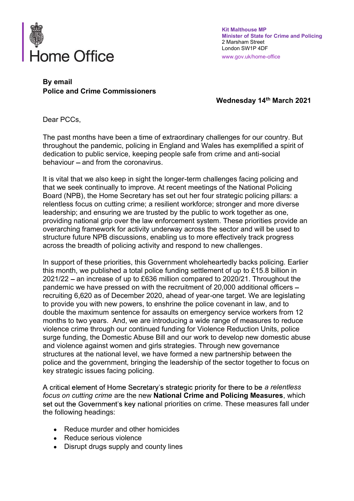

Kit Malthouse MP Minister of State for Crime and Policing 2 Marsham Street London SW1P 4DF www.gov.uk/home-office

## By email Police and Crime Commissioners

Wednesday 14th March 2021

Dear PCCs,

The past months have been a time of extraordinary challenges for our country. But throughout the pandemic, policing in England and Wales has exemplified a spirit of dedication to public service, keeping people safe from crime and anti-social  $behavior - and from the connavirus.$ 

It is vital that we also keep in sight the longer-term challenges facing policing and that we seek continually to improve. At recent meetings of the National Policing Board (NPB), the Home Secretary has set out her four strategic policing pillars: a relentless focus on cutting crime; a resilient workforce; stronger and more diverse leadership; and ensuring we are trusted by the public to work together as one, providing national grip over the law enforcement system. These priorities provide an overarching framework for activity underway across the sector and will be used to structure future NPB discussions, enabling us to more effectively track progress across the breadth of policing activity and respond to new challenges.

In support of these priorities, this Government wholeheartedly backs policing. Earlier this month, we published a total police funding settlement of up to £15.8 billion in  $2021/22$  – an increase of up to £636 million compared to 2020/21. Throughout the pandemic we have pressed on with the recruitment of 20,000 additional officers recruiting 6,620 as of December 2020, ahead of year-one target. We are legislating to provide you with new powers, to enshrine the police covenant in law, and to double the maximum sentence for assaults on emergency service workers from 12 months to two years. And, we are introducing a wide range of measures to reduce violence crime through our continued funding for Violence Reduction Units, police surge funding, the Domestic Abuse Bill and our work to develop new domestic abuse and violence against women and girls strategies. Through new governance structures at the national level, we have formed a new partnership between the police and the government, bringing the leadership of the sector together to focus on key strategic issues facing policing.

A critical element of Home Secretary's strategic priority for there to be a relentless focus on cutting crime are the new National Crime and Policing Measures, which set out the Government's key national priorities on crime. These measures fall under the following headings:

- Reduce murder and other homicides
- Reduce serious violence
- Disrupt drugs supply and county lines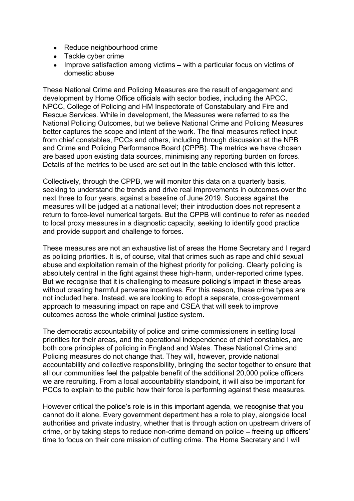- Reduce neighbourhood crime
- Tackle cyber crime
- $\bullet$  Improve satisfaction among victims  $-$  with a particular focus on victims of domestic abuse

These National Crime and Policing Measures are the result of engagement and development by Home Office officials with sector bodies, including the APCC, NPCC, College of Policing and HM Inspectorate of Constabulary and Fire and Rescue Services. While in development, the Measures were referred to as the National Policing Outcomes, but we believe National Crime and Policing Measures better captures the scope and intent of the work. The final measures reflect input from chief constables, PCCs and others, including through discussion at the NPB and Crime and Policing Performance Board (CPPB). The metrics we have chosen are based upon existing data sources, minimising any reporting burden on forces. Details of the metrics to be used are set out in the table enclosed with this letter.

Collectively, through the CPPB, we will monitor this data on a quarterly basis, seeking to understand the trends and drive real improvements in outcomes over the next three to four years, against a baseline of June 2019. Success against the measures will be judged at a national level; their introduction does not represent a return to force-level numerical targets. But the CPPB will continue to refer as needed to local proxy measures in a diagnostic capacity, seeking to identify good practice and provide support and challenge to forces.

These measures are not an exhaustive list of areas the Home Secretary and I regard as policing priorities. It is, of course, vital that crimes such as rape and child sexual abuse and exploitation remain of the highest priority for policing. Clearly policing is absolutely central in the fight against these high-harm, under-reported crime types. But we recognise that it is challenging to measure policing's impact in these areas without creating harmful perverse incentives. For this reason, these crime types are not included here. Instead, we are looking to adopt a separate, cross-government approach to measuring impact on rape and CSEA that will seek to improve outcomes across the whole criminal justice system.

The democratic accountability of police and crime commissioners in setting local priorities for their areas, and the operational independence of chief constables, are both core principles of policing in England and Wales. These National Crime and Policing measures do not change that. They will, however, provide national accountability and collective responsibility, bringing the sector together to ensure that all our communities feel the palpable benefit of the additional 20,000 police officers we are recruiting. From a local accountability standpoint, it will also be important for PCCs to explain to the public how their force is performing against these measures.

However critical the police's role is in this important agenda, we recognise that you cannot do it alone. Every government department has a role to play, alongside local authorities and private industry, whether that is through action on upstream drivers of crime, or by taking steps to reduce non-crime demand on police – freeing up officers' time to focus on their core mission of cutting crime. The Home Secretary and I will